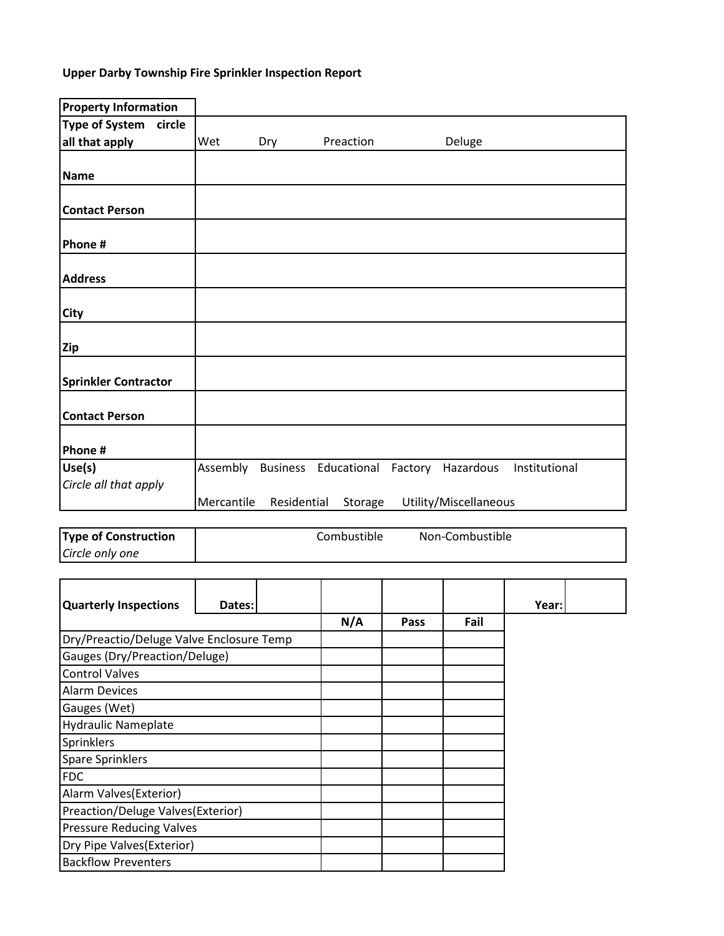## **Upper Darby Township Fire Sprinkler Inspection Report**

| <b>Property Information</b> |            |             |                                        |                       |               |
|-----------------------------|------------|-------------|----------------------------------------|-----------------------|---------------|
| Type of System circle       |            |             |                                        |                       |               |
| all that apply              | Wet        | Dry         | Preaction                              | Deluge                |               |
|                             |            |             |                                        |                       |               |
| <b>Name</b>                 |            |             |                                        |                       |               |
|                             |            |             |                                        |                       |               |
| <b>Contact Person</b>       |            |             |                                        |                       |               |
|                             |            |             |                                        |                       |               |
| Phone #                     |            |             |                                        |                       |               |
|                             |            |             |                                        |                       |               |
| <b>Address</b>              |            |             |                                        |                       |               |
|                             |            |             |                                        |                       |               |
| <b>City</b>                 |            |             |                                        |                       |               |
|                             |            |             |                                        |                       |               |
| Zip                         |            |             |                                        |                       |               |
|                             |            |             |                                        |                       |               |
| <b>Sprinkler Contractor</b> |            |             |                                        |                       |               |
|                             |            |             |                                        |                       |               |
| <b>Contact Person</b>       |            |             |                                        |                       |               |
|                             |            |             |                                        |                       |               |
| Phone #                     |            |             |                                        |                       |               |
| Use(s)                      | Assembly   |             | Business Educational Factory Hazardous |                       | Institutional |
| Circle all that apply       |            |             |                                        |                       |               |
|                             | Mercantile | Residential | Storage                                | Utility/Miscellaneous |               |
|                             |            |             |                                        |                       |               |

| <b>Type of Construction</b> | Combustible | Non-Combustible |  |
|-----------------------------|-------------|-----------------|--|
| Circle only one             |             |                 |  |

| <b>Quarterly Inspections</b>             | Dates: |     |      |      | Year: |  |
|------------------------------------------|--------|-----|------|------|-------|--|
|                                          |        | N/A | Pass | Fail |       |  |
| Dry/Preactio/Deluge Valve Enclosure Temp |        |     |      |      |       |  |
| Gauges (Dry/Preaction/Deluge)            |        |     |      |      |       |  |
| <b>Control Valves</b>                    |        |     |      |      |       |  |
| <b>Alarm Devices</b>                     |        |     |      |      |       |  |
| Gauges (Wet)                             |        |     |      |      |       |  |
| <b>Hydraulic Nameplate</b>               |        |     |      |      |       |  |
| Sprinklers                               |        |     |      |      |       |  |
| <b>Spare Sprinklers</b>                  |        |     |      |      |       |  |
| <b>FDC</b>                               |        |     |      |      |       |  |
| Alarm Valves (Exterior)                  |        |     |      |      |       |  |
| Preaction/Deluge Valves(Exterior)        |        |     |      |      |       |  |
| <b>Pressure Reducing Valves</b>          |        |     |      |      |       |  |
| Dry Pipe Valves (Exterior)               |        |     |      |      |       |  |
| <b>Backflow Preventers</b>               |        |     |      |      |       |  |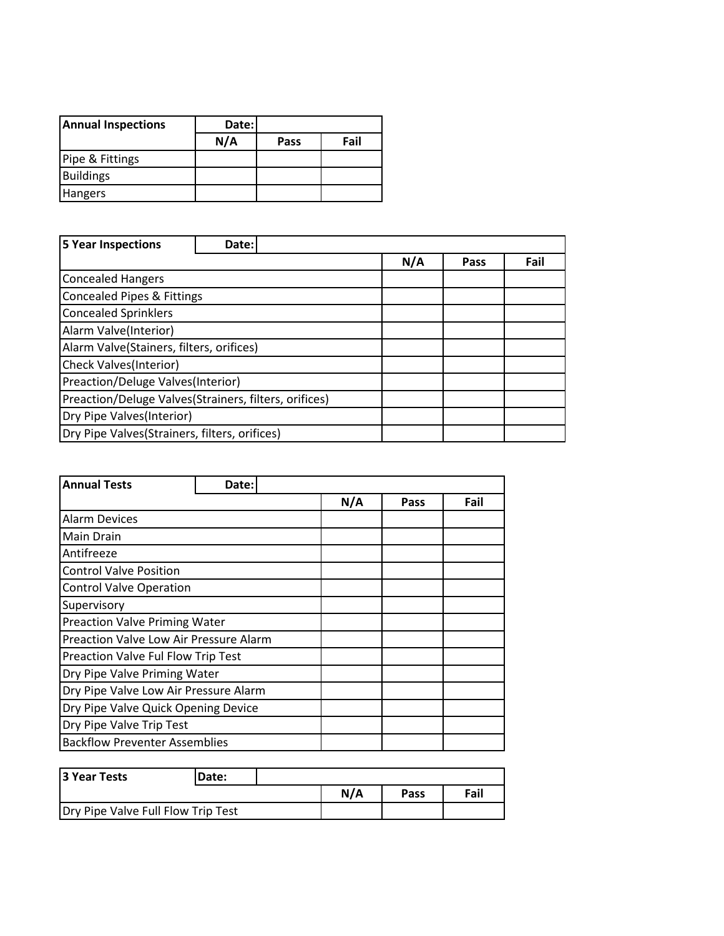| <b>Annual Inspections</b> | Date: |      |      |
|---------------------------|-------|------|------|
|                           | N/A   | Pass | Fail |
| Pipe & Fittings           |       |      |      |
| <b>Buildings</b>          |       |      |      |
| <b>Hangers</b>            |       |      |      |

| <b>5 Year Inspections</b>                             | Date: |  |     |      |      |
|-------------------------------------------------------|-------|--|-----|------|------|
|                                                       |       |  | N/A | Pass | Fail |
| <b>Concealed Hangers</b>                              |       |  |     |      |      |
| <b>Concealed Pipes &amp; Fittings</b>                 |       |  |     |      |      |
| <b>Concealed Sprinklers</b>                           |       |  |     |      |      |
| Alarm Valve(Interior)                                 |       |  |     |      |      |
| Alarm Valve(Stainers, filters, orifices)              |       |  |     |      |      |
| Check Valves(Interior)                                |       |  |     |      |      |
| Preaction/Deluge Valves(Interior)                     |       |  |     |      |      |
| Preaction/Deluge Valves(Strainers, filters, orifices) |       |  |     |      |      |
| Dry Pipe Valves(Interior)                             |       |  |     |      |      |
| Dry Pipe Valves(Strainers, filters, orifices)         |       |  |     |      |      |

| <b>Annual Tests</b>                    | Date: |  |     |      |      |
|----------------------------------------|-------|--|-----|------|------|
|                                        |       |  | N/A | Pass | Fail |
| <b>Alarm Devices</b>                   |       |  |     |      |      |
| <b>Main Drain</b>                      |       |  |     |      |      |
| Antifreeze                             |       |  |     |      |      |
| <b>Control Valve Position</b>          |       |  |     |      |      |
| <b>Control Valve Operation</b>         |       |  |     |      |      |
| Supervisory                            |       |  |     |      |      |
| <b>Preaction Valve Priming Water</b>   |       |  |     |      |      |
| Preaction Valve Low Air Pressure Alarm |       |  |     |      |      |
| Preaction Valve Ful Flow Trip Test     |       |  |     |      |      |
| Dry Pipe Valve Priming Water           |       |  |     |      |      |
| Dry Pipe Valve Low Air Pressure Alarm  |       |  |     |      |      |
| Dry Pipe Valve Quick Opening Device    |       |  |     |      |      |
| Dry Pipe Valve Trip Test               |       |  |     |      |      |
| <b>Backflow Preventer Assemblies</b>   |       |  |     |      |      |

| 3 Year Tests                       | Date: |     |      |      |
|------------------------------------|-------|-----|------|------|
|                                    |       | N/A | Pass | Fail |
| Dry Pipe Valve Full Flow Trip Test |       |     |      |      |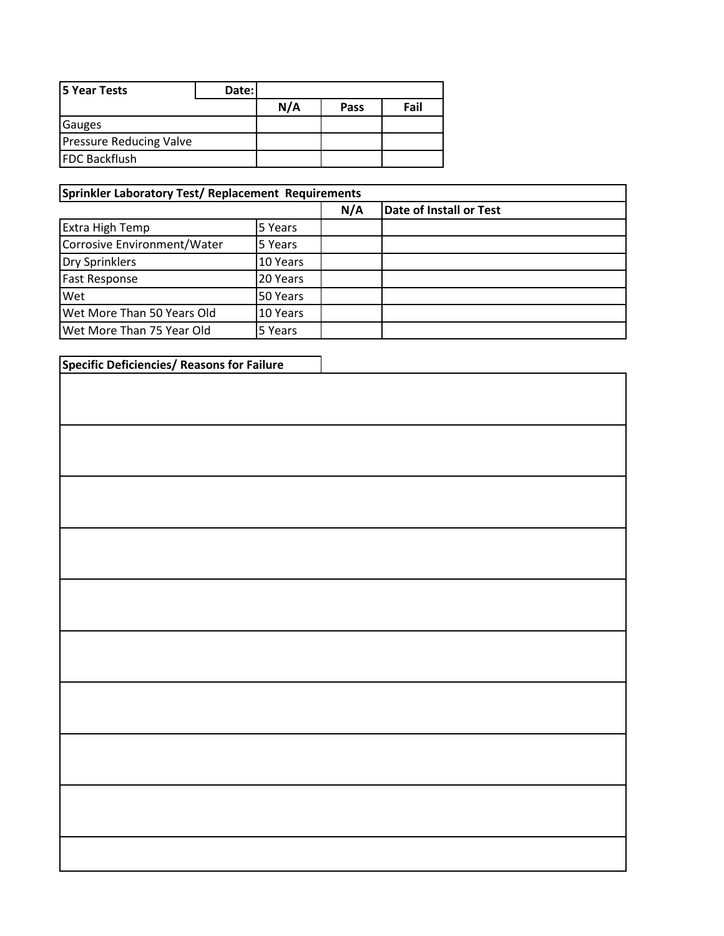| <b>5 Year Tests</b>            | Date: |     |      |      |
|--------------------------------|-------|-----|------|------|
|                                |       | N/A | Pass | Fail |
| <b>Gauges</b>                  |       |     |      |      |
| <b>Pressure Reducing Valve</b> |       |     |      |      |
| <b>FDC Backflush</b>           |       |     |      |      |

## **Sprinkler Laboratory Test/ Replacement Requirements**

|                             |          | N/A | Date of Install or Test |
|-----------------------------|----------|-----|-------------------------|
| Extra High Temp             | 5 Years  |     |                         |
| Corrosive Environment/Water | 5 Years  |     |                         |
| Dry Sprinklers              | 10 Years |     |                         |
| <b>Fast Response</b>        | 20 Years |     |                         |
| Wet                         | 50 Years |     |                         |
| Wet More Than 50 Years Old  | 10 Years |     |                         |
| Wet More Than 75 Year Old   | 5 Years  |     |                         |